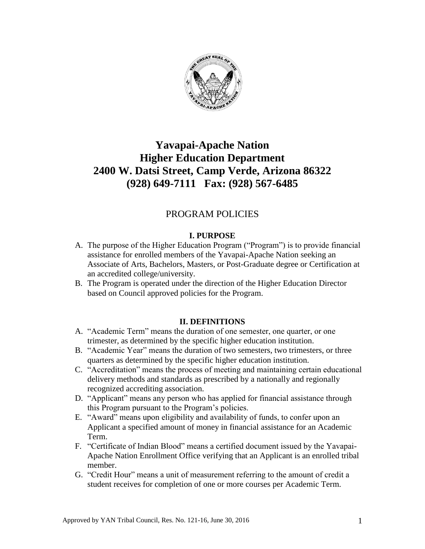

# **Yavapai-Apache Nation Higher Education Department 2400 W. Datsi Street, Camp Verde, Arizona 86322 (928) 649-7111 Fax: (928) 567-6485**

# PROGRAM POLICIES

# **I. PURPOSE**

- A. The purpose of the Higher Education Program ("Program") is to provide financial assistance for enrolled members of the Yavapai-Apache Nation seeking an Associate of Arts, Bachelors, Masters, or Post-Graduate degree or Certification at an accredited college/university.
- B. The Program is operated under the direction of the Higher Education Director based on Council approved policies for the Program.

# **II. DEFINITIONS**

- A. "Academic Term" means the duration of one semester, one quarter, or one trimester, as determined by the specific higher education institution.
- B. "Academic Year" means the duration of two semesters, two trimesters, or three quarters as determined by the specific higher education institution.
- C. "Accreditation" means the process of meeting and maintaining certain educational delivery methods and standards as prescribed by a nationally and regionally recognized accrediting association.
- D. "Applicant" means any person who has applied for financial assistance through this Program pursuant to the Program"s policies.
- E. "Award" means upon eligibility and availability of funds, to confer upon an Applicant a specified amount of money in financial assistance for an Academic Term.
- F. "Certificate of Indian Blood" means a certified document issued by the Yavapai-Apache Nation Enrollment Office verifying that an Applicant is an enrolled tribal member.
- G. "Credit Hour" means a unit of measurement referring to the amount of credit a student receives for completion of one or more courses per Academic Term.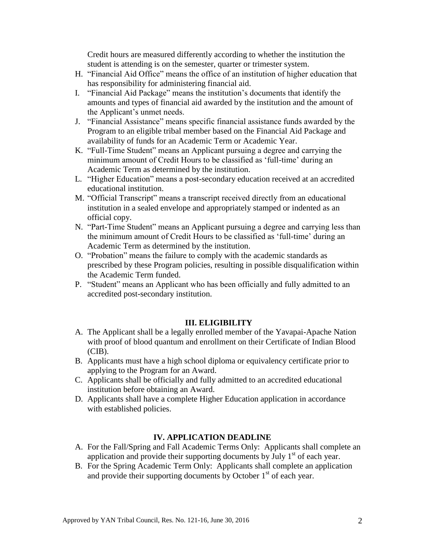Credit hours are measured differently according to whether the institution the student is attending is on the semester, quarter or trimester system.

- H. "Financial Aid Office" means the office of an institution of higher education that has responsibility for administering financial aid.
- I. "Financial Aid Package" means the institution"s documents that identify the amounts and types of financial aid awarded by the institution and the amount of the Applicant"s unmet needs.
- J. "Financial Assistance" means specific financial assistance funds awarded by the Program to an eligible tribal member based on the Financial Aid Package and availability of funds for an Academic Term or Academic Year.
- K. "Full-Time Student" means an Applicant pursuing a degree and carrying the minimum amount of Credit Hours to be classified as 'full-time' during an Academic Term as determined by the institution.
- L. "Higher Education" means a post-secondary education received at an accredited educational institution.
- M. "Official Transcript" means a transcript received directly from an educational institution in a sealed envelope and appropriately stamped or indented as an official copy.
- N. "Part-Time Student" means an Applicant pursuing a degree and carrying less than the minimum amount of Credit Hours to be classified as "full-time" during an Academic Term as determined by the institution.
- O. "Probation" means the failure to comply with the academic standards as prescribed by these Program policies, resulting in possible disqualification within the Academic Term funded.
- P. "Student" means an Applicant who has been officially and fully admitted to an accredited post-secondary institution.

# **III. ELIGIBILITY**

- A. The Applicant shall be a legally enrolled member of the Yavapai-Apache Nation with proof of blood quantum and enrollment on their Certificate of Indian Blood  $(CIB)$ .
- B. Applicants must have a high school diploma or equivalency certificate prior to applying to the Program for an Award.
- C. Applicants shall be officially and fully admitted to an accredited educational institution before obtaining an Award.
- D. Applicants shall have a complete Higher Education application in accordance with established policies.

# **IV. APPLICATION DEADLINE**

- A. For the Fall/Spring and Fall Academic Terms Only: Applicants shall complete an application and provide their supporting documents by July  $1<sup>st</sup>$  of each year.
- B. For the Spring Academic Term Only: Applicants shall complete an application and provide their supporting documents by October  $1<sup>st</sup>$  of each year.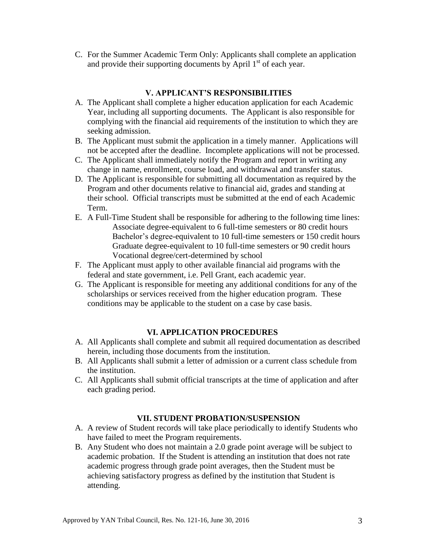C. For the Summer Academic Term Only: Applicants shall complete an application and provide their supporting documents by April  $1<sup>st</sup>$  of each year.

#### **V. APPLICANT'S RESPONSIBILITIES**

- A. The Applicant shall complete a higher education application for each Academic Year, including all supporting documents. The Applicant is also responsible for complying with the financial aid requirements of the institution to which they are seeking admission.
- B. The Applicant must submit the application in a timely manner. Applications will not be accepted after the deadline. Incomplete applications will not be processed.
- C. The Applicant shall immediately notify the Program and report in writing any change in name, enrollment, course load, and withdrawal and transfer status.
- D. The Applicant is responsible for submitting all documentation as required by the Program and other documents relative to financial aid, grades and standing at their school. Official transcripts must be submitted at the end of each Academic Term.
- E. A Full-Time Student shall be responsible for adhering to the following time lines: Associate degree-equivalent to 6 full-time semesters or 80 credit hours Bachelor's degree-equivalent to 10 full-time semesters or 150 credit hours Graduate degree-equivalent to 10 full-time semesters or 90 credit hours Vocational degree/cert-determined by school
- F. The Applicant must apply to other available financial aid programs with the federal and state government, i.e. Pell Grant, each academic year.
- G. The Applicant is responsible for meeting any additional conditions for any of the scholarships or services received from the higher education program. These conditions may be applicable to the student on a case by case basis.

# **VI. APPLICATION PROCEDURES**

- A. All Applicants shall complete and submit all required documentation as described herein, including those documents from the institution.
- B. All Applicants shall submit a letter of admission or a current class schedule from the institution.
- C. All Applicants shall submit official transcripts at the time of application and after each grading period.

# **VII. STUDENT PROBATION/SUSPENSION**

- A. A review of Student records will take place periodically to identify Students who have failed to meet the Program requirements.
- B. Any Student who does not maintain a 2.0 grade point average will be subject to academic probation. If the Student is attending an institution that does not rate academic progress through grade point averages, then the Student must be achieving satisfactory progress as defined by the institution that Student is attending.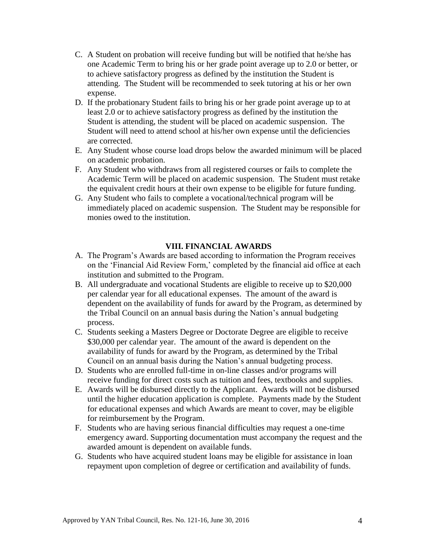- C. A Student on probation will receive funding but will be notified that he/she has one Academic Term to bring his or her grade point average up to 2.0 or better, or to achieve satisfactory progress as defined by the institution the Student is attending. The Student will be recommended to seek tutoring at his or her own expense.
- D. If the probationary Student fails to bring his or her grade point average up to at least 2.0 or to achieve satisfactory progress as defined by the institution the Student is attending, the student will be placed on academic suspension. The Student will need to attend school at his/her own expense until the deficiencies are corrected.
- E. Any Student whose course load drops below the awarded minimum will be placed on academic probation.
- F. Any Student who withdraws from all registered courses or fails to complete the Academic Term will be placed on academic suspension. The Student must retake the equivalent credit hours at their own expense to be eligible for future funding.
- G. Any Student who fails to complete a vocational/technical program will be immediately placed on academic suspension. The Student may be responsible for monies owed to the institution.

#### **VIII. FINANCIAL AWARDS**

- A. The Program"s Awards are based according to information the Program receives on the 'Financial Aid Review Form,' completed by the financial aid office at each institution and submitted to the Program.
- B. All undergraduate and vocational Students are eligible to receive up to \$20,000 per calendar year for all educational expenses. The amount of the award is dependent on the availability of funds for award by the Program, as determined by the Tribal Council on an annual basis during the Nation"s annual budgeting process.
- C. Students seeking a Masters Degree or Doctorate Degree are eligible to receive \$30,000 per calendar year. The amount of the award is dependent on the availability of funds for award by the Program, as determined by the Tribal Council on an annual basis during the Nation's annual budgeting process.
- D. Students who are enrolled full-time in on-line classes and/or programs will receive funding for direct costs such as tuition and fees, textbooks and supplies.
- E. Awards will be disbursed directly to the Applicant. Awards will not be disbursed until the higher education application is complete. Payments made by the Student for educational expenses and which Awards are meant to cover, may be eligible for reimbursement by the Program.
- F. Students who are having serious financial difficulties may request a one-time emergency award. Supporting documentation must accompany the request and the awarded amount is dependent on available funds.
- G. Students who have acquired student loans may be eligible for assistance in loan repayment upon completion of degree or certification and availability of funds.